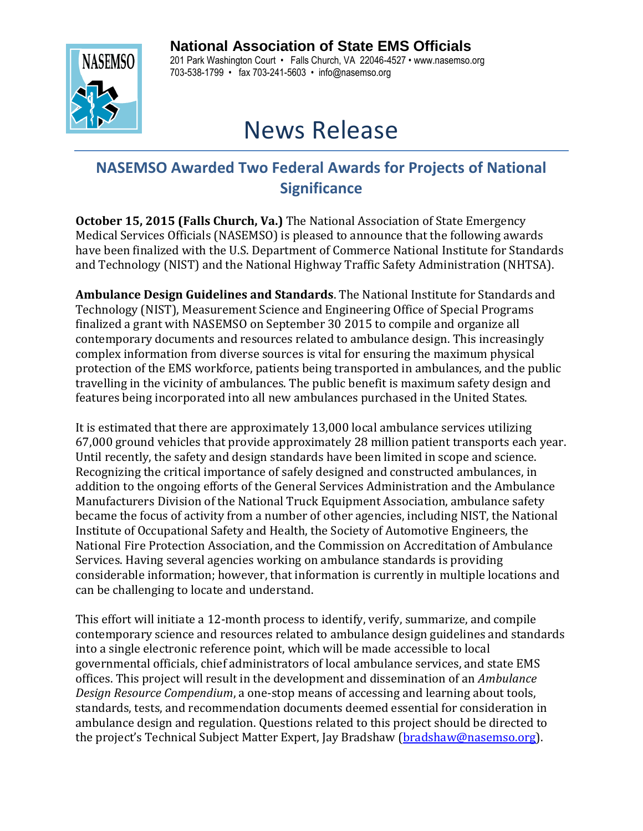## **National Association of State EMS Officials**



201 Park Washington Court • Falls Church, VA 22046-4527 • www.nasemso.org 703-538-1799 • fax 703-241-5603 • info@nasemso.org

## News Release

## **NASEMSO Awarded Two Federal Awards for Projects of National Significance**

**October 15, 2015 (Falls Church, Va.)** The National Association of State Emergency Medical Services Officials (NASEMSO) is pleased to announce that the following awards have been finalized with the U.S. Department of Commerce National Institute for Standards and Technology (NIST) and the National Highway Traffic Safety Administration (NHTSA).

**Ambulance Design Guidelines and Standards**. The National Institute for Standards and Technology (NIST), Measurement Science and Engineering Office of Special Programs finalized a grant with NASEMSO on September 30 2015 to compile and organize all contemporary documents and resources related to ambulance design. This increasingly complex information from diverse sources is vital for ensuring the maximum physical protection of the EMS workforce, patients being transported in ambulances, and the public travelling in the vicinity of ambulances. The public benefit is maximum safety design and features being incorporated into all new ambulances purchased in the United States.

It is estimated that there are approximately 13,000 local ambulance services utilizing 67,000 ground vehicles that provide approximately 28 million patient transports each year. Until recently, the safety and design standards have been limited in scope and science. Recognizing the critical importance of safely designed and constructed ambulances, in addition to the ongoing efforts of the General Services Administration and the Ambulance Manufacturers Division of the National Truck Equipment Association, ambulance safety became the focus of activity from a number of other agencies, including NIST, the National Institute of Occupational Safety and Health, the Society of Automotive Engineers, the National Fire Protection Association, and the Commission on Accreditation of Ambulance Services. Having several agencies working on ambulance standards is providing considerable information; however, that information is currently in multiple locations and can be challenging to locate and understand.

This effort will initiate a 12-month process to identify, verify, summarize, and compile contemporary science and resources related to ambulance design guidelines and standards into a single electronic reference point, which will be made accessible to local governmental officials, chief administrators of local ambulance services, and state EMS offices. This project will result in the development and dissemination of an *Ambulance Design Resource Compendium*, a one-stop means of accessing and learning about tools, standards, tests, and recommendation documents deemed essential for consideration in ambulance design and regulation. Questions related to this project should be directed to the project's Technical Subject Matter Expert, Jay Bradshaw [\(bradshaw@nasemso.org\)](mailto:bradshaw@nasemso.org).